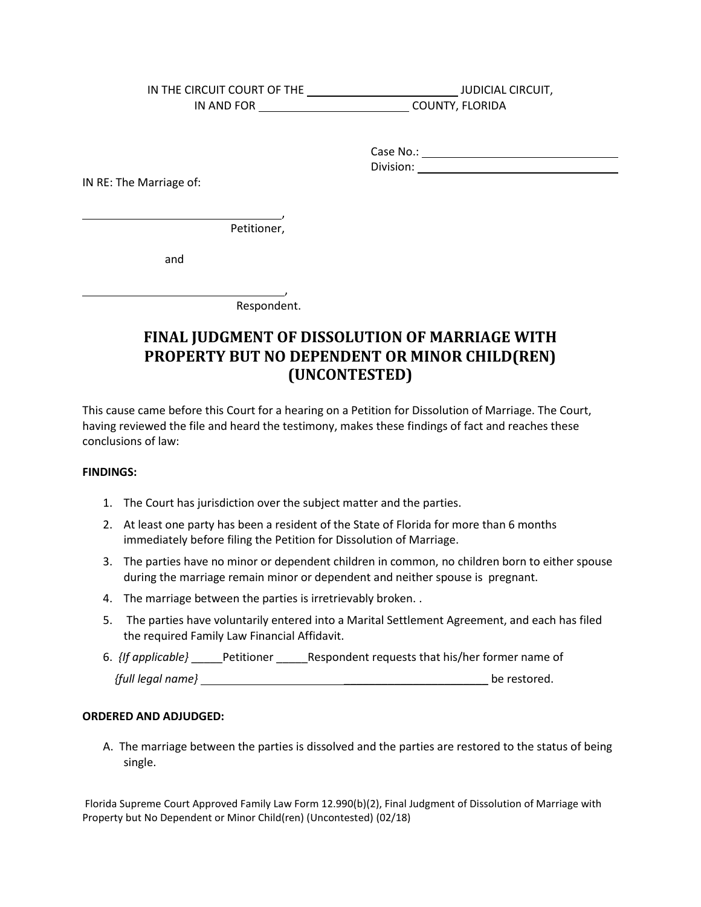IN THE CIRCUIT COURT OF THE \_\_\_\_\_\_\_\_\_\_\_\_\_\_\_\_\_\_\_\_\_\_\_\_\_\_\_\_\_\_\_\_\_JUDICIAL CIRCUIT, IN AND FOR COUNTY, FLORIDA

Case No.: The case of the case of the case of the case of the case of the case of the case of the case of the case of the case of the case of the case of the case of the case of the case of the case of the case of the case Division: the contract of the contract of the contract of the contract of the contract of the contract of the contract of the contract of the contract of the contract of the contract of the contract of the contract of the

Case No.: Division: IN RE: The Marriage of:

 $\overline{\phantom{0}}$ 

L

, Petitioner,

and

Respondent.

,

## **FINAL JUDGMENT OF DISSOLUTION OF MARRIAGE WITH PROPERTY BUT NO DEPENDENT OR MINOR CHILD(REN) (UNCONTESTED)**

This cause came before this Court for a hearing on a Petition for Dissolution of Marriage. The Court, having reviewed the file and heard the testimony, makes these findings of fact and reaches these conclusions of law:

## **FINDINGS:**

- 1. The Court has jurisdiction over the subject matter and the parties.
- 2. At least one party has been a resident of the State of Florida for more than 6 months immediately before filing the Petition for Dissolution of Marriage.
- during the marriage remain minor or dependent and neither spouse is pregnant. 3. The parties have no minor or dependent children in common, no children born to either spouse
- 4. The marriage between the parties is irretrievably broken..
- 5. The parties have voluntarily entered into a Marital Settlement Agreement, and each has filed the required Family Law Financial Affidavit.
- 6. *{If applicable}* \_\_\_\_\_Petitioner \_\_\_\_\_Respondent requests that his/her former name of

| {full legal name} | be restored. |
|-------------------|--------------|
|                   |              |

## **ORDERED AND ADJUDGED:**

 A. The marriage between the parties is dissolved and the parties are restored to the status of being single.

Florida Supreme Court Approved Family Law Form 12.990(b)(2), Final Judgment of Dissolution of Marriage with Property but No Dependent or Minor Child(ren) (Uncontested) (02/18)